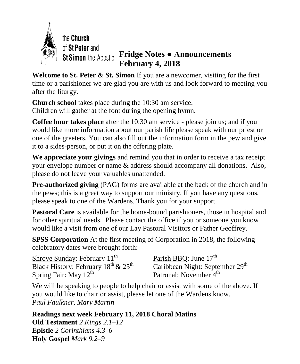

## **Fridge Notes ● Announcements February 4, 2018**

**Welcome to St. Peter & St. Simon** If you are a newcomer, visiting for the first time or a parishioner we are glad you are with us and look forward to meeting you after the liturgy.

**Church school** takes place during the 10:30 am service. Children will gather at the font during the opening hymn.

**Coffee hour takes place** after the 10:30 am service - please join us; and if you would like more information about our parish life please speak with our priest or one of the greeters. You can also fill out the information form in the pew and give it to a sides-person, or put it on the offering plate.

**We appreciate your givings** and remind you that in order to receive a tax receipt your envelope number or name & address should accompany all donations. Also, please do not leave your valuables unattended.

**Pre-authorized giving** (PAG) forms are available at the back of the church and in the pews; this is a great way to support our ministry. If you have any questions, please speak to one of the Wardens. Thank you for your support.

**Pastoral Care** is available for the home-bound parishioners, those in hospital and for other spiritual needs. Please contact the office if you or someone you know would like a visit from one of our Lay Pastoral Visitors or Father Geoffrey.

**SPSS Corporation** At the first meeting of Corporation in 2018, the following celebratory dates were brought forth:

Shrove Sunday: February 11<sup>th</sup> Black History: February  $18^{th}$  &  $25^{th}$ Spring Fair: May 12<sup>th</sup>

Parish BBQ: June 17<sup>th</sup> Caribbean Night: September 29<sup>th</sup> Patronal: November 4<sup>th</sup>

We will be speaking to people to help chair or assist with some of the above. If you would like to chair or assist, please let one of the Wardens know. *Paul Faulkner, Mary Martin*

**Readings next week February 11, 2018 Choral Matins Old Testament** *2 Kings 2.1–12* **Epistle** *2 Corinthians 4.3–6* **Holy Gospel** *Mark 9.2–9*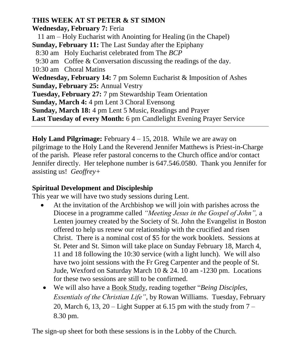## **THIS WEEK AT ST PETER & ST SIMON**

**Wednesday, February 7:** Feria

 11 am – Holy Eucharist with Anointing for Healing (in the Chapel) **Sunday, February 11:** The Last Sunday after the Epiphany 8:30 am Holy Eucharist celebrated from The *BCP* 9:30 am Coffee & Conversation discussing the readings of the day. 10:30 am Choral Matins **Wednesday, February 14:** 7 pm Solemn Eucharist & Imposition of Ashes **Sunday, February 25:** Annual Vestry **Tuesday, February 27:** 7 pm Stewardship Team Orientation **Sunday, March 4:** 4 pm Lent 3 Choral Evensong **Sunday, March 18:** 4 pm Lent 5 Music, Readings and Prayer **Last Tuesday of every Month:** 6 pm Candlelight Evening Prayer Service

**Holy Land Pilgrimage:** February 4 – 15, 2018. While we are away on pilgrimage to the Holy Land the Reverend Jennifer Matthews is Priest-in-Charge of the parish. Please refer pastoral concerns to the Church office and/or contact Jennifer directly. Her telephone number is 647.546.0580. Thank you Jennifer for assisting us! *Geoffrey+*

## **Spiritual Development and Discipleship**

This year we will have two study sessions during Lent.

- At the invitation of the Archbishop we will join with parishes across the Diocese in a programme called *"Meeting Jesus in the Gospel of John",* a Lenten journey created by the Society of St. John the Evangelist in Boston offered to help us renew our relationship with the crucified and risen Christ. There is a nominal cost of \$5 for the work booklets. Sessions at St. Peter and St. Simon will take place on Sunday February 18, March 4, 11 and 18 following the 10:30 service (with a light lunch). We will also have two joint sessions with the Fr Greg Carpenter and the people of St. Jude, Wexford on Saturday March 10 & 24. 10 am -1230 pm. Locations for these two sessions are still to be confirmed.
- We will also have a Book Study, reading together "*Being Disciples, Essentials of the Christian Life"*, by Rowan Williams. Tuesday, February 20, March 6, 13, 20 – Light Supper at 6.15 pm with the study from  $7 -$ 8.30 pm.

The sign-up sheet for both these sessions is in the Lobby of the Church.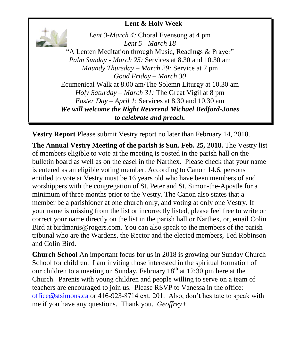## **Lent & Holy Week**

*Lent 3-March 4:* Choral Evensong at 4 pm *Lent 5 - March 18*  "A Lenten Meditation through Music, Readings & Prayer" *Palm Sunday - March 25:* Services at 8.30 and 10.30 am *Maundy Thursday – March 29:* Service at 7 pm *Good Friday – March 30* Ecumenical Walk at 8.00 am/The Solemn Liturgy at 10.30 am *Holy Saturday – March 31:* The Great Vigil at 8 pm *Easter Day – April 1*: Services at 8.30 and 10.30 am *We will welcome the Right Reverend Michael Bedford-Jones to celebrate and preach.*

**Vestry Report** Please submit Vestry report no later than February 14, 2018.

**The Annual Vestry Meeting of the parish is Sun. Feb. 25, 2018.** The Vestry list of members eligible to vote at the meeting is posted in the parish hall on the bulletin board as well as on the easel in the Narthex. Please check that your name is entered as an eligible voting member. According to Canon 14.6, persons entitled to vote at Vestry must be 16 years old who have been members of and worshippers with the congregation of St. Peter and St. Simon-the-Apostle for a minimum of three months prior to the Vestry. The Canon also states that a member be a parishioner at one church only, and voting at only one Vestry. If your name is missing from the list or incorrectly listed, please feel free to write or correct your name directly on the list in the parish hall or Narthex, or, email Colin Bird at birdmanis@rogers.com. You can also speak to the members of the parish tribunal who are the Wardens, the Rector and the elected members, Ted Robinson and Colin Bird.

**Church School** An important focus for us in 2018 is growing our Sunday Church School for children. I am inviting those interested in the spiritual formation of our children to a meeting on Sunday, February  $18<sup>th</sup>$  at 12:30 pm here at the Church. Parents with young children and people willing to serve on a team of teachers are encouraged to join us. Please RSVP to Vanessa in the office: [office@stsimons.ca](mailto:office@stsimons.ca) or 416-923-8714 ext. 201. Also, don't hesitate to speak with me if you have any questions. Thank you. *Geoffrey+*